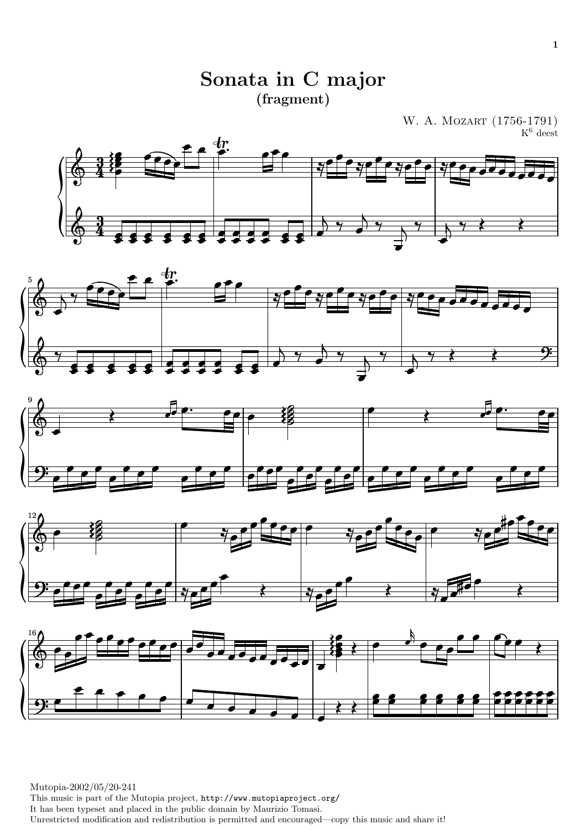

W. A. MOZART (1756-1791)  $K^6$  deest











Mutopia-2002/05/20-241 This music is part of the Mutopia project, http://www.mutopiaproject.org/ It has been typeset and placed in the public domain by Maurizio Tomasi. Unrestricted modification and redistribution is permitted and encouraged—copy this music and share it!